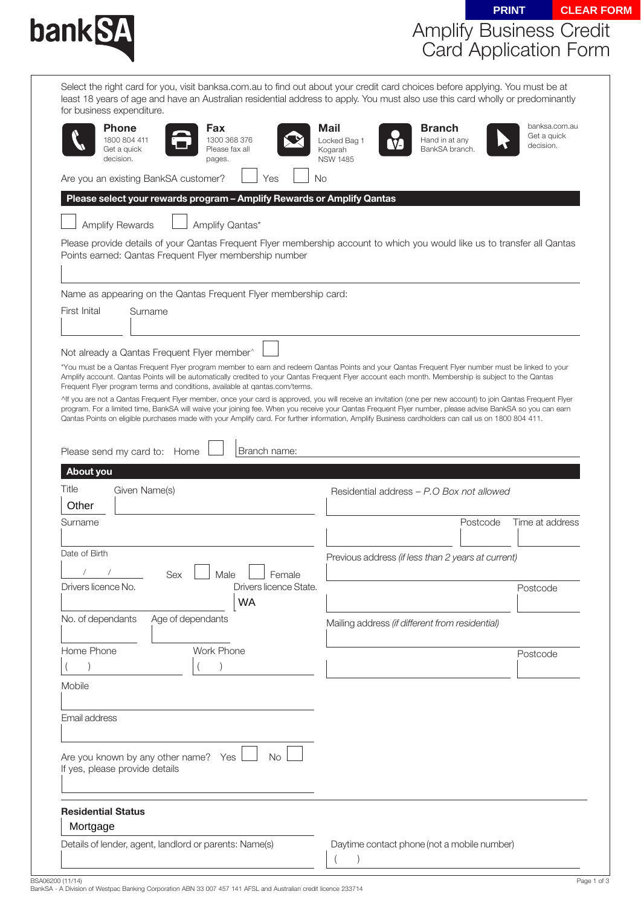| bank <b>SA</b>                                                                                                                                                                                                                                                                                                                                                                                                                                                                                                                                                                                                                                                                                                                                                                               |                                                    |                                                   |          | <b>PRINT</b>                              | <b>CLEAR FORM</b> |
|----------------------------------------------------------------------------------------------------------------------------------------------------------------------------------------------------------------------------------------------------------------------------------------------------------------------------------------------------------------------------------------------------------------------------------------------------------------------------------------------------------------------------------------------------------------------------------------------------------------------------------------------------------------------------------------------------------------------------------------------------------------------------------------------|----------------------------------------------------|---------------------------------------------------|----------|-------------------------------------------|-------------------|
|                                                                                                                                                                                                                                                                                                                                                                                                                                                                                                                                                                                                                                                                                                                                                                                              |                                                    | <b>Amplify Business Credit</b>                    |          |                                           |                   |
|                                                                                                                                                                                                                                                                                                                                                                                                                                                                                                                                                                                                                                                                                                                                                                                              |                                                    |                                                   |          | <b>Card Application Form</b>              |                   |
|                                                                                                                                                                                                                                                                                                                                                                                                                                                                                                                                                                                                                                                                                                                                                                                              |                                                    |                                                   |          |                                           |                   |
| Select the right card for you, visit banksa.com.au to find out about your credit card choices before applying. You must be at<br>least 18 years of age and have an Australian residential address to apply. You must also use this card wholly or predominantly<br>for business expenditure.                                                                                                                                                                                                                                                                                                                                                                                                                                                                                                 |                                                    |                                                   |          |                                           |                   |
| <b>Phone</b><br>Fax<br>1800 804 411<br>1300 368 376<br>Get a quick<br>Please fax all<br>decision.<br>pages.                                                                                                                                                                                                                                                                                                                                                                                                                                                                                                                                                                                                                                                                                  | Mail<br>Locked Bag 1<br>Kogarah<br><b>NSW 1485</b> | <b>Branch</b><br>Hand in at any<br>BankSA branch. |          | banksa.com.au<br>Get a quick<br>decision. |                   |
| Are you an existing BankSA customer?<br>Yes                                                                                                                                                                                                                                                                                                                                                                                                                                                                                                                                                                                                                                                                                                                                                  | No.                                                |                                                   |          |                                           |                   |
| Please select your rewards program - Amplify Rewards or Amplify Qantas                                                                                                                                                                                                                                                                                                                                                                                                                                                                                                                                                                                                                                                                                                                       |                                                    |                                                   |          |                                           |                   |
| <b>Amplify Rewards</b><br>Amplify Qantas*                                                                                                                                                                                                                                                                                                                                                                                                                                                                                                                                                                                                                                                                                                                                                    |                                                    |                                                   |          |                                           |                   |
| Please provide details of your Qantas Frequent Flyer membership account to which you would like us to transfer all Qantas<br>Points earned: Qantas Frequent Flyer membership number                                                                                                                                                                                                                                                                                                                                                                                                                                                                                                                                                                                                          |                                                    |                                                   |          |                                           |                   |
| Name as appearing on the Qantas Frequent Flyer membership card:                                                                                                                                                                                                                                                                                                                                                                                                                                                                                                                                                                                                                                                                                                                              |                                                    |                                                   |          |                                           |                   |
| First Inital<br>Surname                                                                                                                                                                                                                                                                                                                                                                                                                                                                                                                                                                                                                                                                                                                                                                      |                                                    |                                                   |          |                                           |                   |
|                                                                                                                                                                                                                                                                                                                                                                                                                                                                                                                                                                                                                                                                                                                                                                                              |                                                    |                                                   |          |                                           |                   |
| Not already a Qantas Frequent Flyer member^                                                                                                                                                                                                                                                                                                                                                                                                                                                                                                                                                                                                                                                                                                                                                  |                                                    |                                                   |          |                                           |                   |
| Amplify account. Qantas Points will be automatically credited to your Qantas Frequent Flyer account each month. Membership is subject to the Qantas<br>Frequent Flyer program terms and conditions, available at gantas.com/terms.<br>^If you are not a Qantas Frequent Flyer member, once your card is approved, you will receive an invitation (one per new account) to join Qantas Frequent Flyer<br>program. For a limited time, BankSA will waive your joining fee. When you receive your Qantas Frequent Flyer number, please advise BankSA so you can earn<br>Qantas Points on eligible purchases made with your Amplify card. For further information, Amplify Business cardholders can call us on 1800 804 411.<br>Branch name:<br>Please send my card to: Home<br><b>About you</b> |                                                    |                                                   |          |                                           |                   |
|                                                                                                                                                                                                                                                                                                                                                                                                                                                                                                                                                                                                                                                                                                                                                                                              |                                                    |                                                   |          |                                           |                   |
| Given Name(s)                                                                                                                                                                                                                                                                                                                                                                                                                                                                                                                                                                                                                                                                                                                                                                                | Residential address - P.O Box not allowed          |                                                   |          |                                           |                   |
| Other                                                                                                                                                                                                                                                                                                                                                                                                                                                                                                                                                                                                                                                                                                                                                                                        |                                                    |                                                   |          |                                           |                   |
|                                                                                                                                                                                                                                                                                                                                                                                                                                                                                                                                                                                                                                                                                                                                                                                              |                                                    |                                                   | Postcode | Time at address                           |                   |
|                                                                                                                                                                                                                                                                                                                                                                                                                                                                                                                                                                                                                                                                                                                                                                                              | Previous address (if less than 2 years at current) |                                                   |          |                                           |                   |
| $\sqrt{2}$<br>Sex<br>Male<br>Female                                                                                                                                                                                                                                                                                                                                                                                                                                                                                                                                                                                                                                                                                                                                                          |                                                    |                                                   |          |                                           |                   |
| Drivers licence State.                                                                                                                                                                                                                                                                                                                                                                                                                                                                                                                                                                                                                                                                                                                                                                       |                                                    |                                                   |          | Postcode                                  |                   |
| <b>WA</b>                                                                                                                                                                                                                                                                                                                                                                                                                                                                                                                                                                                                                                                                                                                                                                                    |                                                    |                                                   |          |                                           |                   |
| Age of dependants                                                                                                                                                                                                                                                                                                                                                                                                                                                                                                                                                                                                                                                                                                                                                                            | Mailing address (if different from residential)    |                                                   |          |                                           |                   |
| Work Phone                                                                                                                                                                                                                                                                                                                                                                                                                                                                                                                                                                                                                                                                                                                                                                                   |                                                    |                                                   |          | Postcode                                  |                   |
| Title<br>Surname<br>Date of Birth<br>Drivers licence No.<br>No. of dependants<br>Home Phone                                                                                                                                                                                                                                                                                                                                                                                                                                                                                                                                                                                                                                                                                                  |                                                    |                                                   |          |                                           |                   |
| Mobile                                                                                                                                                                                                                                                                                                                                                                                                                                                                                                                                                                                                                                                                                                                                                                                       |                                                    |                                                   |          |                                           |                   |
|                                                                                                                                                                                                                                                                                                                                                                                                                                                                                                                                                                                                                                                                                                                                                                                              |                                                    |                                                   |          |                                           |                   |
|                                                                                                                                                                                                                                                                                                                                                                                                                                                                                                                                                                                                                                                                                                                                                                                              |                                                    |                                                   |          |                                           |                   |
| Email address<br>Are you known by any other name? Yes<br><b>No</b><br>If yes, please provide details                                                                                                                                                                                                                                                                                                                                                                                                                                                                                                                                                                                                                                                                                         |                                                    |                                                   |          |                                           |                   |
| <b>Residential Status</b><br>Mortgage                                                                                                                                                                                                                                                                                                                                                                                                                                                                                                                                                                                                                                                                                                                                                        |                                                    |                                                   |          |                                           |                   |

BSA06200 (11/14)<br>BankSA - A Division of Westpac Banking Corporation ABN 33 007 457 141 AFSL and Australian credit licence 233714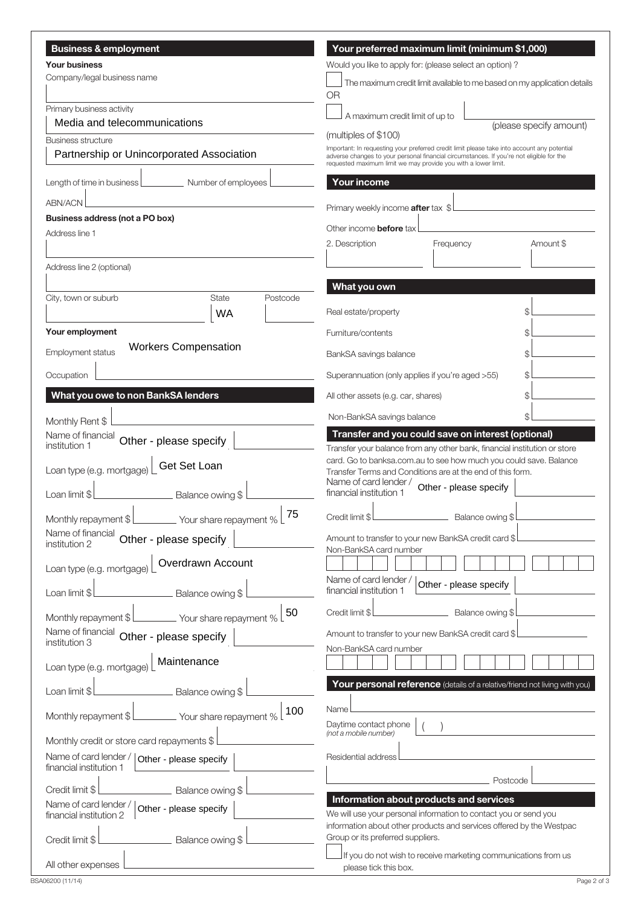| <b>Business &amp; employment</b>                                          | Your preferred maximum limit (minimum \$1,000)                                                                                                             |  |  |  |  |
|---------------------------------------------------------------------------|------------------------------------------------------------------------------------------------------------------------------------------------------------|--|--|--|--|
| <b>Your business</b>                                                      | Would you like to apply for: (please select an option)?                                                                                                    |  |  |  |  |
| Company/legal business name                                               | The maximum credit limit available to me based on my application details                                                                                   |  |  |  |  |
|                                                                           | <b>OR</b>                                                                                                                                                  |  |  |  |  |
| Primary business activity                                                 | A maximum credit limit of up to                                                                                                                            |  |  |  |  |
| Media and telecommunications                                              | (please specify amount)<br>(multiples of \$100)                                                                                                            |  |  |  |  |
| Business structure<br>Partnership or Unincorporated Association           | Important: In requesting your preferred credit limit please take into account any potential                                                                |  |  |  |  |
|                                                                           | adverse changes to your personal financial circumstances. If you're not eligible for the<br>requested maximum limit we may provide you with a lower limit. |  |  |  |  |
| Length of time in business [<br>Number of employees                       | <b>Your income</b>                                                                                                                                         |  |  |  |  |
| <b>ABN/ACN</b>                                                            |                                                                                                                                                            |  |  |  |  |
| Business address (not a PO box)                                           | Primary weekly income <b>after</b> tax \$                                                                                                                  |  |  |  |  |
| Address line 1                                                            | Other income <b>before</b> tax                                                                                                                             |  |  |  |  |
|                                                                           | Amount \$<br>2. Description<br>Frequency                                                                                                                   |  |  |  |  |
| Address line 2 (optional)                                                 |                                                                                                                                                            |  |  |  |  |
|                                                                           | What you own                                                                                                                                               |  |  |  |  |
| <b>State</b><br>City, town or suburb<br>Postcode                          |                                                                                                                                                            |  |  |  |  |
| <b>WA</b>                                                                 | Real estate/property                                                                                                                                       |  |  |  |  |
| Your employment                                                           | Furniture/contents                                                                                                                                         |  |  |  |  |
| <b>Workers Compensation</b><br>Employment status                          | BankSA savings balance                                                                                                                                     |  |  |  |  |
| Occupation                                                                | Superannuation (only applies if you're aged >55)                                                                                                           |  |  |  |  |
| What you owe to non BankSA lenders                                        | All other assets (e.g. car, shares)                                                                                                                        |  |  |  |  |
|                                                                           | Non-BankSA savings balance                                                                                                                                 |  |  |  |  |
| Monthly Rent \$<br>Name of financial                                      | Transfer and you could save on interest (optional)                                                                                                         |  |  |  |  |
| Other - please specify<br>institution 1                                   | Transfer your balance from any other bank, financial institution or store                                                                                  |  |  |  |  |
| Get Set Loan<br>Loan type (e.g. mortgage)                                 | card. Go to banksa.com.au to see how much you could save. Balance<br>Transfer Terms and Conditions are at the end of this form.<br>Name of card lender /   |  |  |  |  |
| Loan limit \$<br>Balance owing \$                                         | Other - please specify<br>financial institution 1                                                                                                          |  |  |  |  |
| 75                                                                        | Credit limit \$<br>Balance owing \$                                                                                                                        |  |  |  |  |
| Name of financial<br>Other - please specify<br>institution 2              | Amount to transfer to your new BankSA credit card \$                                                                                                       |  |  |  |  |
|                                                                           | Non-BankSA card number                                                                                                                                     |  |  |  |  |
| Overdrawn Account<br>Loan type (e.g. mortgage)                            |                                                                                                                                                            |  |  |  |  |
| Loan limit \$<br>Balance owing \$                                         | Name of card lender /<br>Other - please specify<br>financial institution 1                                                                                 |  |  |  |  |
| 50<br>Monthly repayment \$<br>_ Your share repayment %                    | Credit limit \$<br>Balance owing \$                                                                                                                        |  |  |  |  |
| Name of financial Other - please specify                                  | Amount to transfer to your new BankSA credit card \$                                                                                                       |  |  |  |  |
| institution 3                                                             | Non-BankSA card number                                                                                                                                     |  |  |  |  |
| Maintenance<br>Loan type (e.g. mortgage)                                  |                                                                                                                                                            |  |  |  |  |
| Balance owing \$<br>Loan limit \$                                         | Your personal reference (details of a relative/friend not living with you)                                                                                 |  |  |  |  |
| 100<br>Monthly repayment \$<br>Your share repayment %                     | Name<br>Daytime contact phone                                                                                                                              |  |  |  |  |
| Monthly credit or store card repayments \$                                | (not a mobile number)                                                                                                                                      |  |  |  |  |
| Name of card lender /   Other - please specify<br>financial institution 1 | Residential address                                                                                                                                        |  |  |  |  |
| Credit limit \$<br>Balance owing \$                                       | Postcode                                                                                                                                                   |  |  |  |  |
| Name of card lender /                                                     | Information about products and services                                                                                                                    |  |  |  |  |
| Other - please specify<br>financial institution 2                         | We will use your personal information to contact you or send you<br>information about other products and services offered by the Westpac                   |  |  |  |  |
| Balance owing \$<br>Credit limit \$                                       | Group or its preferred suppliers.                                                                                                                          |  |  |  |  |
| All other expenses                                                        | If you do not wish to receive marketing communications from us<br>please tick this box.                                                                    |  |  |  |  |